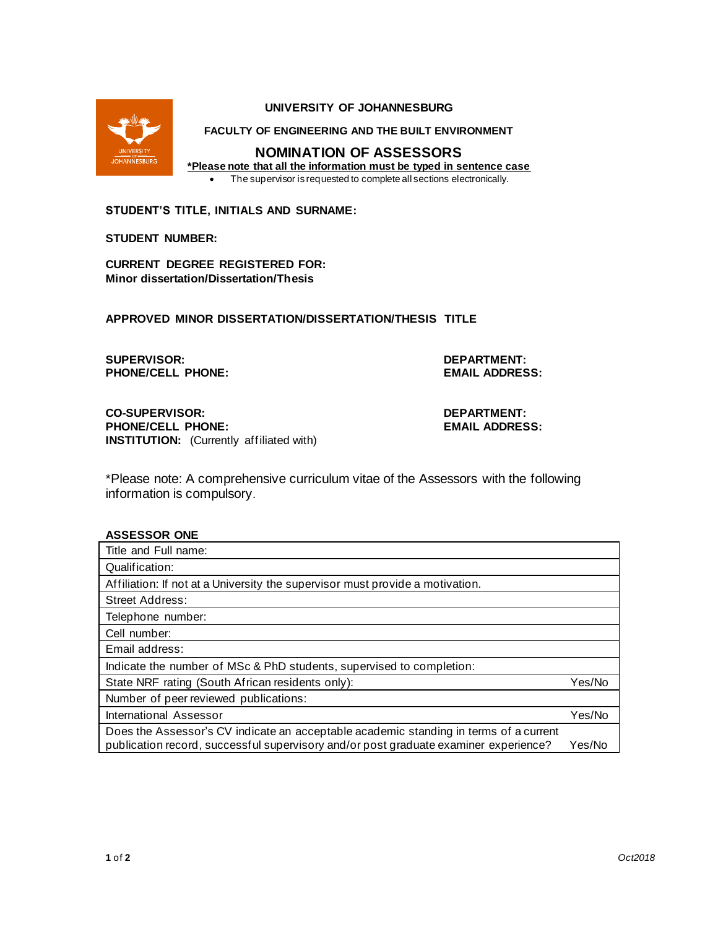

#### **UNIVERSITY OF JOHANNESBURG**

**FACULTY OF ENGINEERING AND THE BUILT ENVIRONMENT**

# **NOMINATION OF ASSESSORS**

**\*Please note that all the information must be typed in sentence case**

• The supervisor is requested to complete all sections electronically.

**STUDENT'S TITLE, INITIALS AND SURNAME:**

#### **STUDENT NUMBER:**

**CURRENT DEGREE REGISTERED FOR: Minor dissertation/Dissertation/Thesis**

**APPROVED MINOR DISSERTATION/DISSERTATION/THESIS TITLE**

**SUPERVISOR: DEPARTMENT: PHONE/CELL PHONE: EMAIL ADDRESS:**

**CO-SUPERVISOR: DEPARTMENT: PHONE/CELL PHONE: INSTITUTION:** (Currently affiliated with)

\*Please note: A comprehensive curriculum vitae of the Assessors with the following information is compulsory.

### **ASSESSOR ONE**

| Title and Full name:                                                                  |        |
|---------------------------------------------------------------------------------------|--------|
| Qualification:                                                                        |        |
| Affiliation: If not at a University the supervisor must provide a motivation.         |        |
| <b>Street Address:</b>                                                                |        |
| Telephone number:                                                                     |        |
| Cell number:                                                                          |        |
| Email address:                                                                        |        |
| Indicate the number of MSc & PhD students, supervised to completion:                  |        |
| State NRF rating (South African residents only):                                      | Yes/No |
| Number of peer reviewed publications:                                                 |        |
| International Assessor                                                                | Yes/No |
| Does the Assessor's CV indicate an acceptable academic standing in terms of a current |        |
| publication record, successful supervisory and/or post graduate examiner experience?  | Yes/No |